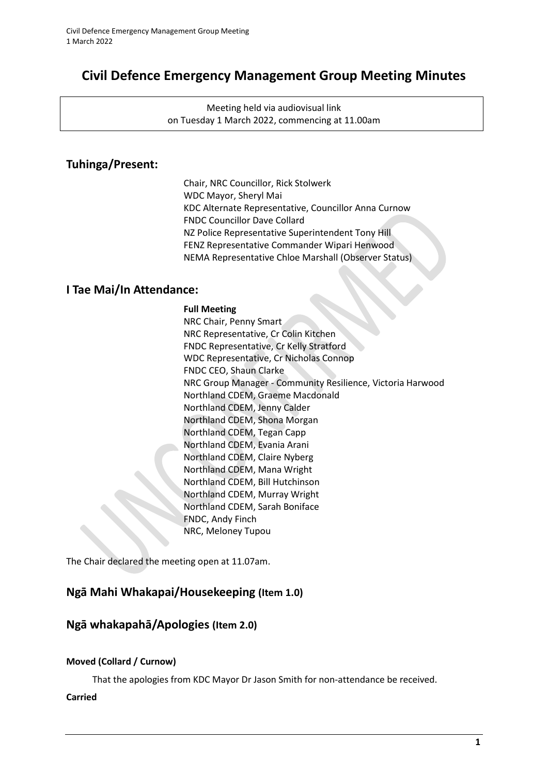# **Civil Defence Emergency Management Group Meeting Minutes**

Meeting held via audiovisual link on Tuesday 1 March 2022, commencing at 11.00am

## **Tuhinga/Present:**

Chair, NRC Councillor, Rick Stolwerk WDC Mayor, Sheryl Mai KDC Alternate Representative, Councillor Anna Curnow FNDC Councillor Dave Collard NZ Police Representative Superintendent Tony Hill FENZ Representative Commander Wipari Henwood NEMA Representative Chloe Marshall (Observer Status)

### **I Tae Mai/In Attendance:**

#### **Full Meeting**

NRC Chair, Penny Smart NRC Representative, Cr Colin Kitchen FNDC Representative, Cr Kelly Stratford WDC Representative, Cr Nicholas Connop FNDC CEO, Shaun Clarke NRC Group Manager - Community Resilience, Victoria Harwood Northland CDEM, Graeme Macdonald Northland CDEM, Jenny Calder Northland CDEM, Shona Morgan Northland CDEM, Tegan Capp Northland CDEM, Evania Arani Northland CDEM, Claire Nyberg Northland CDEM, Mana Wright Northland CDEM, Bill Hutchinson Northland CDEM, Murray Wright Northland CDEM, Sarah Boniface FNDC, Andy Finch NRC, Meloney Tupou

The Chair declared the meeting open at 11.07am.

### **Ngā Mahi Whakapai/Housekeeping (Item 1.0)**

### **Ngā whakapahā/Apologies (Item 2.0)**

#### **Moved (Collard / Curnow)**

That the apologies from KDC Mayor Dr Jason Smith for non-attendance be received.

#### **Carried**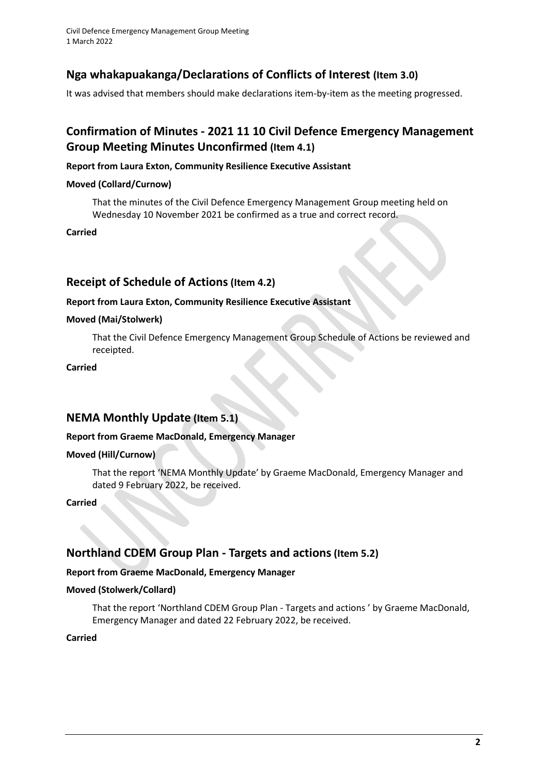Civil Defence Emergency Management Group Meeting 1 March 2022

## **Nga whakapuakanga/Declarations of Conflicts of Interest (Item 3.0)**

It was advised that members should make declarations item-by-item as the meeting progressed.

## **Confirmation of Minutes - 2021 11 10 Civil Defence Emergency Management Group Meeting Minutes Unconfirmed (Item 4.1)**

#### **Report from Laura Exton, Community Resilience Executive Assistant**

#### **Moved (Collard/Curnow)**

That the minutes of the Civil Defence Emergency Management Group meeting held on Wednesday 10 November 2021 be confirmed as a true and correct record.

**Carried**

### **Receipt of Schedule of Actions (Item 4.2)**

#### **Report from Laura Exton, Community Resilience Executive Assistant**

#### **Moved (Mai/Stolwerk)**

That the Civil Defence Emergency Management Group Schedule of Actions be reviewed and receipted.

**Carried**

### **NEMA Monthly Update (Item 5.1)**

#### **Report from Graeme MacDonald, Emergency Manager**

#### **Moved (Hill/Curnow)**

That the report 'NEMA Monthly Update' by Graeme MacDonald, Emergency Manager and dated 9 February 2022, be received.

#### **Carried**

### **Northland CDEM Group Plan - Targets and actions(Item 5.2)**

#### **Report from Graeme MacDonald, Emergency Manager**

#### **Moved (Stolwerk/Collard)**

That the report 'Northland CDEM Group Plan - Targets and actions ' by Graeme MacDonald, Emergency Manager and dated 22 February 2022, be received.

**Carried**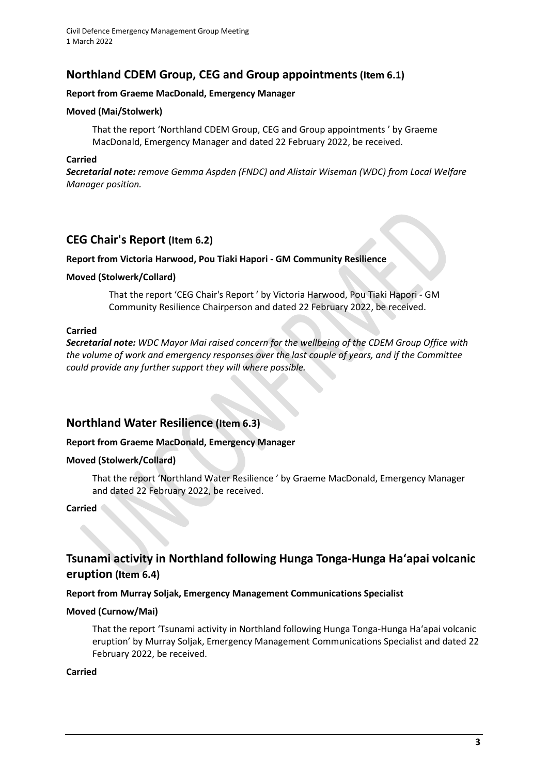## **Northland CDEM Group, CEG and Group appointments(Item 6.1)**

#### **Report from Graeme MacDonald, Emergency Manager**

#### **Moved (Mai/Stolwerk)**

That the report 'Northland CDEM Group, CEG and Group appointments ' by Graeme MacDonald, Emergency Manager and dated 22 February 2022, be received.

#### **Carried**

*Secretarial note: remove Gemma Aspden (FNDC) and Alistair Wiseman (WDC) from Local Welfare Manager position.*

### **CEG Chair's Report (Item 6.2)**

#### **Report from Victoria Harwood, Pou Tiaki Hapori - GM Community Resilience**

#### **Moved (Stolwerk/Collard)**

That the report 'CEG Chair's Report ' by Victoria Harwood, Pou Tiaki Hapori - GM Community Resilience Chairperson and dated 22 February 2022, be received.

#### **Carried**

*Secretarial note: WDC Mayor Mai raised concern for the wellbeing of the CDEM Group Office with the volume of work and emergency responses over the last couple of years, and if the Committee could provide any further support they will where possible.*

### **Northland Water Resilience (Item 6.3)**

#### **Report from Graeme MacDonald, Emergency Manager**

#### **Moved (Stolwerk/Collard)**

That the report 'Northland Water Resilience ' by Graeme MacDonald, Emergency Manager and dated 22 February 2022, be received.

#### **Carried**

## **Tsunami activity in Northland following Hunga Tonga-Hunga Haʻapai volcanic eruption (Item 6.4)**

#### **Report from Murray Soljak, Emergency Management Communications Specialist**

#### **Moved (Curnow/Mai)**

That the report 'Tsunami activity in Northland following Hunga Tonga-Hunga Haʻapai volcanic eruption' by Murray Soljak, Emergency Management Communications Specialist and dated 22 February 2022, be received.

#### **Carried**